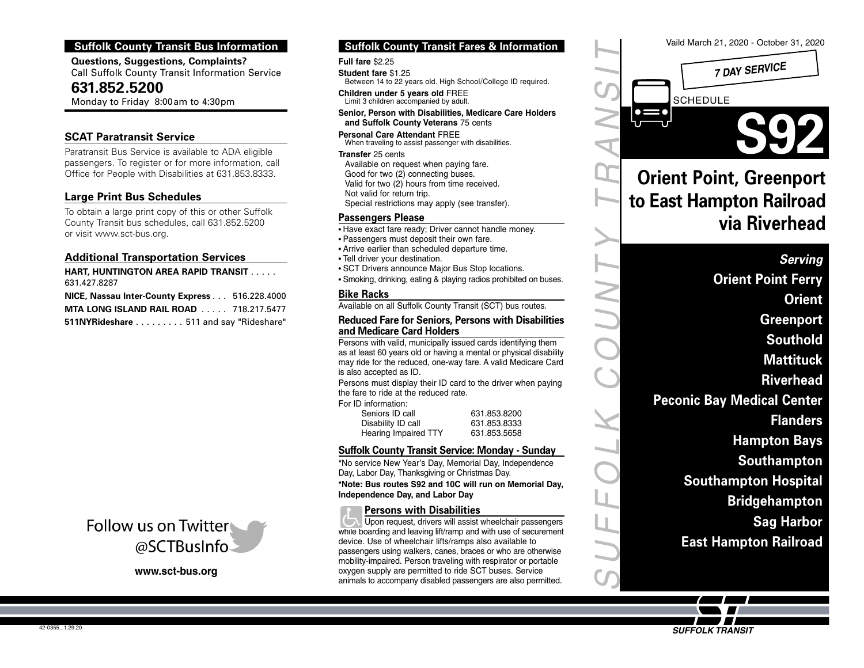# **Suffolk County Transit Bus Information**

**Questions, Suggestions, Complaints?** Call Suffolk County Transit Information Service

**631.852.5200**

Monday to Friday 8:00am to 4:30pm

## **SCAT Paratransit Service**

Paratransit Bus Service is available to ADA eligible passengers. To register or for more information, call Office for People with Disabilities at 631.853.8333.

# **Large Print Bus Schedules**

To obtain a large print copy of this or other Suffolk County Transit bus schedules, call 631.852.5200 or visit www.sct-bus.org.

## **Additional Transportation Services**

**HART, HUNTINGTON AREA RAPID TRANSIT** ..... 631.427.8287

**NICE, Nassau Inter-County Express** ... 516.228.4000 **MTA LONG ISLAND RAIL ROAD** ..... 718.217.5477 **511NYRideshare** ......... 511 and say "Rideshare"



# **Suffolk County Transit Fares & Information**

#### **Full fare** \$2.25

- **Student fare** \$1.25 Between 14 to 22 years old. High School/College ID required.
- **Children under 5 years old** FREE Limit 3 children accompanied by adult.
- **Senior, Person with Disabilities, Medicare Care Holders and Suffolk County Veterans** 75 cents
- **Personal Care Attendant** FREE When traveling to assist passenger with disabilities.
- **Transfer** 25 cents
- Available on request when paying fare. Good for two (2) connecting buses. Valid for two (2) hours from time received. Not valid for return trip.
- Special restrictions may apply (see transfer).

## **Passengers Please**

- Have exact fare ready; Driver cannot handle money.
- Passengers must deposit their own fare.
- Arrive earlier than scheduled departure time.
- Tell driver your destination.
- SCT Drivers announce Major Bus Stop locations.
- Smoking, drinking, eating & playing radios prohibited on buses.

#### **Bike Racks**

Available on all Suffolk County Transit (SCT) bus routes.

#### **Reduced Fare for Seniors, Persons with Disabilities and Medicare Card Holders**

Persons with valid, municipally issued cards identifying them as at least 60 years old or having a mental or physical disability may ride for the reduced, one-way fare. A valid Medicare Card is also accepted as ID.

Persons must display their ID card to the driver when paying the fare to ride at the reduced rate.

For ID information:

| Seniors ID call      | 631.853.8200 |
|----------------------|--------------|
| Disability ID call   | 631.853.8333 |
| Hearing Impaired TTY | 631.853.5658 |

### **Suffolk County Transit Service: Monday - Sunday**

**\***No service New Year's Day, Memorial Day, Independence Day, Labor Day, Thanksgiving or Christmas Day.

**\*Note: Bus routes S92 and 10C will run on Memorial Day, Independence Day, and Labor Day**

## **Persons with Disabilities**

Upon request, drivers will assist wheelchair passengers  $\overline{\phantom{a}}$ while boarding and leaving lift/ramp and with use of securement device. Use of wheelchair lifts/ramps also available to passengers using walkers, canes, braces or who are otherwise mobility-impaired. Person traveling with respirator or portable 3.26.12\_grayscale tint increase request from SC Print Shop **www.sct-bus.org**<br>animals to accompany disabled passengers are also permitted.<br>animals to accompany disabled passengers are also permitted. oxygen supply are permitted to ride SCT buses. Service



SUFFOLK COUNTY TRANSIT

**SUFFOLK TRANSIT**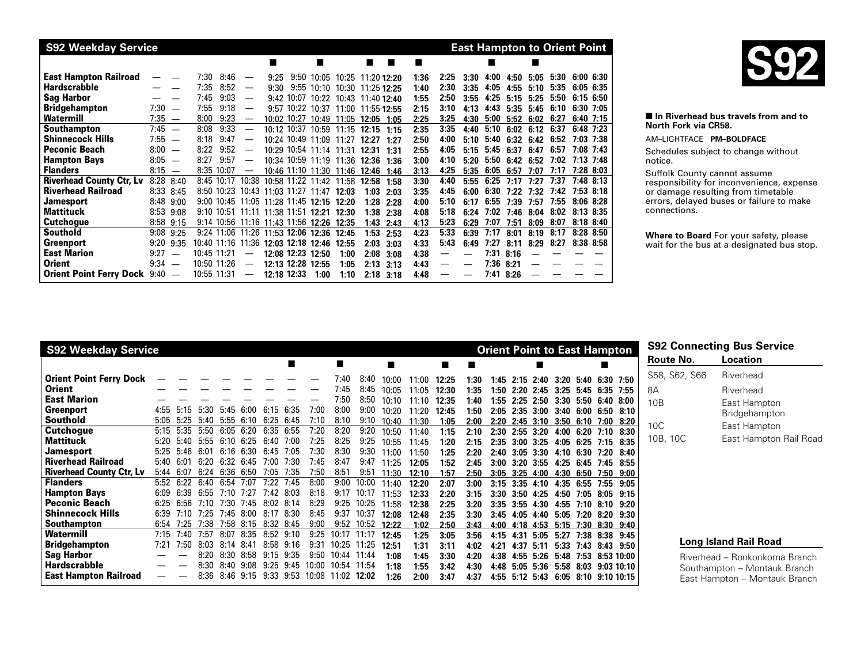| <b>S92 Weekday Service</b>      |          |                          |      |              |                          |      |             |                                          |                                    |       |               |      |      |      |      |           |               |      | <b>East Hampton to Orient Point</b> |  |
|---------------------------------|----------|--------------------------|------|--------------|--------------------------|------|-------------|------------------------------------------|------------------------------------|-------|---------------|------|------|------|------|-----------|---------------|------|-------------------------------------|--|
|                                 |          |                          |      |              |                          |      |             |                                          |                                    | п     | ш             |      |      |      |      |           |               |      |                                     |  |
| <b>East Hampton Railroad</b>    |          |                          | 7:30 | 8:46         | $\hspace{0.05cm}$        | 9:25 |             |                                          | 9:50 10:05 10:25 11:20 12:20       |       |               | 1:36 | 2:25 | 3:30 | 4:00 | 4:50      | 5:05          | 5:30 | 6:00 6:30                           |  |
| <b>Hardscrabble</b>             |          |                          | 7:35 | 8:52         |                          | 9:30 |             |                                          | 9:55 10:10 10:30 11:25 12:25       |       |               | 1:40 | 2:30 | 3:35 | 4:05 | 4:55      | 5:10          | 5:35 | 6:05 6:35                           |  |
| <b>Sag Harbor</b>               |          |                          | 7:45 | 9:03         |                          |      |             |                                          | 9:42 10:07 10:22 10:43 11:40 12:40 |       |               | 1:55 | 2:50 | 3:55 | 4:25 | 5:15      | 5:25          | 5:50 | 6:15 6:50                           |  |
| <b>Bridgehampton</b>            | 7:30     | $\overline{\phantom{a}}$ | 7:55 | 9:18         | $\overline{\phantom{m}}$ |      |             |                                          | 9:57 10:22 10:37 11:00 11:55 12:55 |       |               | 2:15 | 3:10 | 4:13 | 4:43 |           | $5:35$ $5:45$ | 6:10 | 6:30 7:05                           |  |
| Watermill                       | 7:35     | $\overline{\phantom{a}}$ | 8:00 | 9:23         | $\hspace{0.05cm}$        |      | 10:02 10:27 | 10:49 11:05                              |                                    | 12:05 | 1:05          | 2:25 | 3:25 | 4:30 | 5:00 | 5:52      | 6:02          | 6:27 | $6:40$ 7:15                         |  |
| <b>Southampton</b>              | 7:45     | $\overline{\phantom{m}}$ | 8:08 | 9:33         |                          |      |             |                                          | 10:12 10:37 10:59 11:15            | 12:15 | 1:15          | 2:35 | 3:35 | 4:40 | 5:10 | 6:02      | 6:12          | 6:37 | $6:48$ 7:23                         |  |
| <b>Shinnecock Hills</b>         | 7:55     |                          | 8:18 | 9:47         |                          |      |             |                                          | 10:24 10:49 11:09 11:27            | 12:27 | 1:27          | 2:50 | 4:00 | 5:10 | 5:40 | 6:32      | 6:42          | 6:52 | 7:03 7:38                           |  |
| <b>Peconic Beach</b>            | 8:00     | $\overline{\phantom{a}}$ | 8:22 | 9:52         | $\overline{\phantom{m}}$ |      |             |                                          | 10:29 10:54 11:14 11:31            | 12:31 | 1:31          | 2:55 | 4:05 | 5:15 | 5:45 | 6:37      | 6:47          | 6:57 | 7:08 7:43                           |  |
| <b>Hampton Bays</b>             | $8:05 -$ |                          | 8:27 | 9:57         |                          |      |             |                                          | 10:34 10:59 11:19 11:36            | 12:36 | 1:36          | 3:00 | 4:10 | 5:20 | 5:50 | 6:42      | 6:52          | 7:02 | 7:13 7:48                           |  |
| <b>Flanders</b>                 | $8:15 -$ |                          |      | 8:35 10:07   | $\overline{\phantom{0}}$ |      |             | 10:46 11:10 11:30                        | 11:46                              | 12:46 | 1:46          | 3:13 | 4:25 | 5:35 | 6:05 | 6:57      | 7:07          | 7:17 | 7:28 8:03                           |  |
| <b>Riverhead County Ctr, Lv</b> |          | 8:28 8:40                |      | $8:45$ 10:17 | 10:38                    |      |             | 10:58 11:22 11:42                        | 11:58                              | 12:58 | 1:58          | 3:30 | 4:40 | 5:55 | 6:25 | 7:17      | 7:27          | 7:37 | $7:48$ 8:13                         |  |
| <b>Riverhead Railroad</b>       |          | 8:33 8:45                |      |              |                          |      |             | 8:50 10:23 10:43 11:03 11:27 11:47       | 12:03                              | 1:03  | 2:03          | 3:35 | 4:45 | 6:00 | 6:30 | 7:22      | 7:32          | 7:42 | 7:53 8:18                           |  |
| <b>Jamesport</b>                | 8:48     | 9:00                     |      |              |                          |      |             | 9:00 10:45 11:05 11:28 11:45 12:15 12:20 |                                    |       | $1:28$ 2:28   | 4:00 | 5:10 | 6:17 | 6:55 | 7:39      | 7:57          | 7:55 | 8:06 8:28                           |  |
| <b>Mattituck</b>                | 8:53     | 9:08                     |      |              |                          |      |             | 9:10 10:51 11:11 11:38 11:51 12:21 12:30 |                                    |       | $1:38$ $2:38$ | 4:08 | 5:18 | 6:24 | 7:02 | 7:46      | 8:04          | 8:02 | 8:13 8:35                           |  |
| <b>Cutchogue</b>                | 8:58     | 9:15                     |      | 9:14 10:56   |                          |      |             | 11:16 11:43 11:56 12:26                  | 12:35                              | 1:43  | 2:43          | 4:13 | 5:23 | 6:29 | 7:07 | 7:51      | 8:09          | 8:07 | $8:18$ $8:40$                       |  |
| <b>Southold</b>                 | 9:08     | 9:25                     |      | $9:24$ 11:06 |                          |      |             | 11:26 11:53 12:06 12:36                  | 12:45                              | 1:53  | 2:53          | 4:23 | 5:33 | 6:39 | 7:17 | 8:01      | 8:19          | 8:17 | 8:28 8:50                           |  |
| <b>Greenport</b>                | 9:20     | 9:35                     |      | 10:40 11:16  |                          |      |             | 11:36 12:03 12:18 12:46 12:55            |                                    | 2:03  | 3:03          | 4:33 | 5:43 | 6:49 | 7:27 | 8:11      | 8:29          | 8:27 | 8:38 8:58                           |  |
| <b>East Marion</b>              | 9:27     | $\overline{\phantom{m}}$ |      | 10:45 11:21  |                          |      |             | 12:08 12:23 12:50                        | 1:00                               | 2:08  | 3:08          | 4:38 |      |      | 7:31 | 8:16      |               |      |                                     |  |
| Orient                          | $9:34 -$ |                          |      | 10:50 11:26  | $\hspace{0.05cm}$        |      |             | 12:13 12:28 12:55                        | 1:05                               |       | $2:13$ $3:13$ | 4:43 |      |      |      | 7:36 8:21 |               |      |                                     |  |
| Orient Point Ferry Dock 9:40 -  |          |                          |      | 10:55 11:31  | —                        |      | 12:18 12:33 | 1:00                                     | 1:10                               |       | $2:18$ $3:18$ | 4:48 |      |      | 7:41 | 8:26      |               |      |                                     |  |



#### ■ In Riverhead bus travels from and to **North Fork via CR58.**

AM–LIGHTFACE **PM–BOLDFACE**

Schedules subject to change without notice.

Suffolk County cannot assume responsibility for inconvenience, expense or damage resulting from timetable errors, delayed buses or failure to make connections.

**Where to Board** For your safety, please wait for the bus at a designated bus stop.

| <b>S92 Weekday Service</b>      |      |              |                  |           |                      |           |           |       |             |             |       |       |       |      |      |      |                      |      |           | <b>Orient Point to East Hampton</b> |      |                 | <b>S92 Connecting Bus Service</b> |
|---------------------------------|------|--------------|------------------|-----------|----------------------|-----------|-----------|-------|-------------|-------------|-------|-------|-------|------|------|------|----------------------|------|-----------|-------------------------------------|------|-----------------|-----------------------------------|
|                                 |      |              |                  |           |                      |           |           |       | п           |             | п     |       | ■     |      |      |      | ■                    |      |           |                                     |      | Route No.       | Location                          |
| <b>Orient Point Ferry Dock</b>  |      |              |                  |           |                      |           |           |       | 7:40        | 8:40        | 10:00 | 11:00 | 12:25 | 1:30 |      |      | $1:45$ $2:15$ $2:40$ |      |           | 3:20 5:40 6:30 7:50                 |      | S58, S62, S66   | Riverhead                         |
| Orient                          |      |              |                  |           |                      |           |           |       | 7:45        | 8:45        | 10:05 | 11:05 | 12:30 | 1:35 |      |      | $1:50$ $2:20$ $2:45$ |      |           | 3:25 5:45 6:35 7:55                 |      | 8A              | Riverhead                         |
| <b>East Marion</b>              |      |              |                  |           |                      |           |           |       | 7:50        | 8:50        | 10:10 | 11:10 | 12:35 | 1:40 |      |      | $1:55$ 2:25 2:50     | 3:30 |           | 5:50 6:40 8:00                      |      | 10B             | East Hampton                      |
| Greenport                       | 4:55 | 5:15         | 5:30             | 5:45      | 6:00                 |           | 6:15 6:35 | 7:00  | 8:00        | 9:00        | 10:20 | 11:20 | 12:45 | 1:50 |      |      | $2:05$ $2:35$ $3:00$ |      |           | 3:40 6:00 6:50 8:10                 |      |                 | <b>Bridgehampton</b>              |
| <b>Southold</b>                 | 5:05 | 5:25         | 5:40             | 5:55      | 6:10                 | 6:25      | 6:45      | 7:10  | 8:10        | 9:10        | 10:40 | 11:30 | 1:05  | 2:00 |      |      | $2:20$ $2:45$ $3:10$ |      |           | 3:50 6:10 7:00 8:20                 |      | 10 <sup>C</sup> |                                   |
| Cutchogue                       | 5:15 | 5:35         |                  |           | 5:50 6:05 6:20       | 6:35      | 6:55      | 7:20  | 8:20        | 9:20        | 10:50 | 11:40 | 1:15  | 2:10 | 2:30 |      | $2:55 \cdot 3:20$    | 4:00 |           | 6:20 7:10 8:30                      |      |                 | East Hampton                      |
| Mattituck                       | 5:20 | 5:40         | $5:55$ 6:10 6:25 |           |                      | 6:40      | 7:00      | 7:25  | 8:25        | 9:25        | 10:55 | 11:45 | 1:20  | 2:15 | 2:35 |      | $3:00$ $3:25$        |      |           | 4:05 6:25 7:15 8:35                 |      | 10B, 10C        | East Hampton Rail Road            |
| <b>Jamesport</b>                | 5:25 | 5:46         | 6:01             |           | 6:16 6:30            | 6:45      | 7:05      | 7:30  | 8:30        | 9:30        | 11:00 | 11:50 | 1:25  | 2:20 |      |      | $2:40$ $3:05$ $3:30$ |      |           | 4:10 6:30 7:20 8:40                 |      |                 |                                   |
| <b>Riverhead Railroad</b>       | 5:40 | 6:01         |                  |           | $6:20$ $6:32$ $6:45$ | 7:00      | 7:30      | 7:45  | 8:47        | 9:47        | 11:25 | 12:05 | 1:52  | 2:45 |      |      |                      |      |           | 3:00 3:20 3:55 4:25 6:45 7:45 8:55  |      |                 |                                   |
| <b>Riverhead County Ctr, Lv</b> | 5:44 | 6:07         | 6:24             | 6:36      | 6:50                 | 7:05      | 7:35      | 7:50  | 8:51        | 9:51        | 11:30 | 12:10 | 1:57  | 2:50 |      |      | $3:05$ $3:25$ $4:00$ | 4:30 |           | 6:50 7:50 9:00                      |      |                 |                                   |
| <b>Flanders</b>                 |      | 5:52 6:22    | 6:40             | 6:54      | 7:07                 | 7:22      | 7:45      | 8:00  | 9:00        | 10:00       | 11:40 | 12:20 | 2:07  | 3:00 |      |      | $3:15$ $3:35$ $4:10$ |      | 4:35 6:55 | 7:55                                | 9:05 |                 |                                   |
| <b>Hampton Bays</b>             | 6:09 | <u> 6.39</u> | 6.55             |           | 7:10 7:27            | 7:42      | 8.03      | 8:18  | 9:17        | 10:17       | 11:53 | 12:33 | 2:20  | 3:15 | 3:30 |      | $3:50$ 4:25          | 4:50 | 7:05      | $8:05$ $9:15$                       |      |                 |                                   |
| <b>Peconic Beach</b>            | 6:25 | 6:56         |                  |           | 7:10 7:30 7:45       |           | 8:02 8:14 | 8:29  |             | 9:25 10:25  | 11:58 | 12:38 | 2:25  | 3:20 | 3:35 |      | $3:55$ 4:30          | 4:55 | 7.10      | 8:10 9:20                           |      |                 |                                   |
| <b>Shinnecock Hills</b>         | 6:39 | 7:10         | 7:25             |           | 7:45 8:00            | 8:17      | 8:30      | 8:45  | 9:37        | 10:37       | 12:08 | 12:48 | 2:35  | 3:30 |      |      |                      |      |           | 3:45 4:05 4:40 5:05 7:20 8:20 9:30  |      |                 |                                   |
| <b>Southampton</b>              | 6:54 | 7:25         | 7:38             |           | 7:58 8:15            | 8:32 8:45 |           | 9:00  |             | 9:52 10:52  | 12:22 | 1:02  | 2:50  | 3:43 | 4:00 |      |                      |      |           | 4:18 4:53 5:15 7:30 8:30 9:40       |      |                 |                                   |
| Watermill                       | 7:15 | 7:40         |                  |           | 7:57 8:07 8:35       |           | 8:52 9:10 | 9:25  |             | 10:17 11:17 | 12:45 | 1:25  | 3:05  | 3:56 | 4.15 | 4:31 | 5.05                 | 5:27 | 7:38      | 8:38 9:45                           |      |                 |                                   |
| <b>Bridgehampton</b>            | 7:21 | 7:50         | 8:03             | 8.14 8.41 |                      | 8:58      | 9:16      | 9:31  | 10:25       | 11:25       | 12:51 | 1:31  | 3:11  | 4:02 | 4:21 |      | 4:37 5:11            | 5:33 |           | 7:43 8:43 9:50                      |      |                 | Long Island Rail Road             |
| <b>Sag Harbor</b>               |      |              | 8:20.            |           | 8:30 8:58            | 9:15      | 9:35      | 9:50  | 10:44 11:44 |             | 1:08  | 1:45  | 3:30  | 4:20 | 4:38 | 4:55 | 5:26                 | 5:48 |           | 7:53 8:53 10:00                     |      |                 | Riverhead – Ronkonkoma Branch     |
| <b>Hardscrabble</b>             |      |              |                  |           | $8:30$ $8:40$ $9:08$ |           | 9:25 9:45 | 10:00 | 10:54 11:54 |             | 1:18  | 1:55  | 3:42  | 4:30 |      |      |                      |      |           | 4:48 5:05 5:36 5:58 8:03 9:03 10:10 |      |                 | Southampton - Montauk Branch      |
| <b>East Hampton Railroad</b>    |      |              | 8:36             |           | 8:46 9:15            |           | 9:33 9:53 | 10:08 | 11:02 12:02 |             | 1:26  | 2:00  | 3:47  | 4:37 | 4:55 |      | 5:12 5:43            |      |           | 6:05 8:10 9:10 10:15                |      |                 | East Hampton – Montauk Branch     |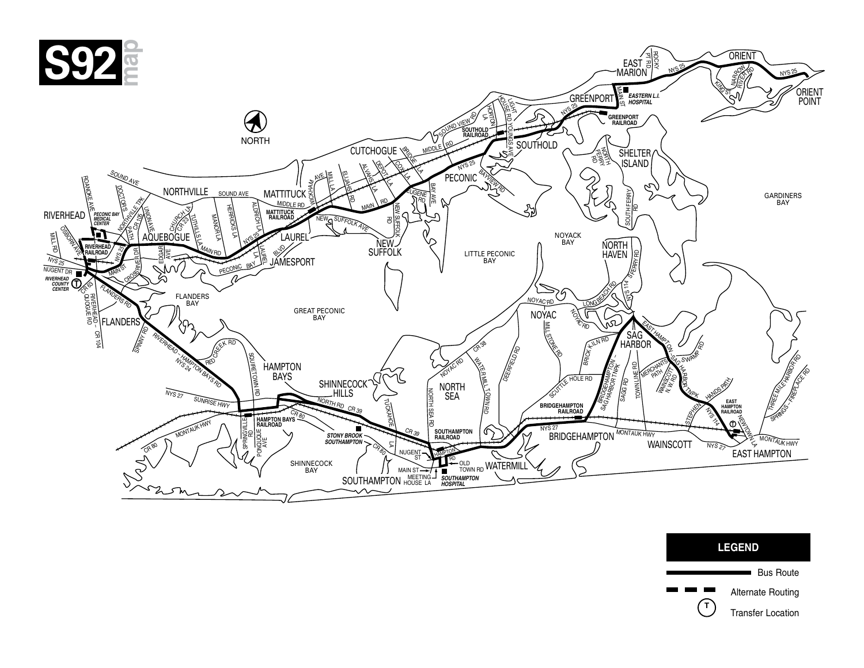